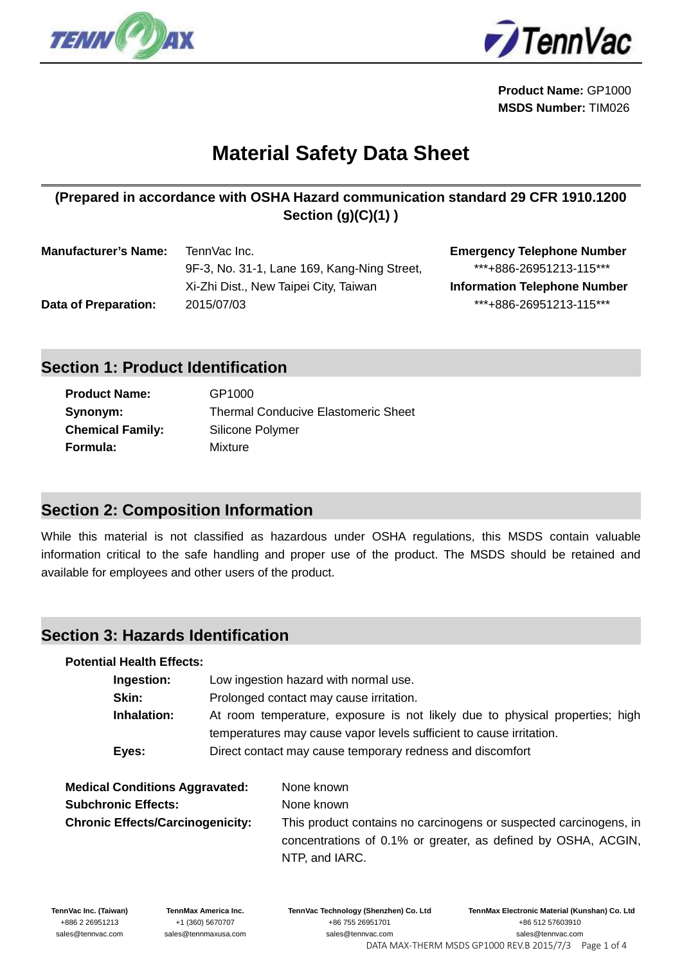

 $\overline{a}$ 



**Product Name:** GP1000 **MSDS Number:** TIM026

# **Material Safety Data Sheet**

## **(Prepared in accordance with OSHA Hazard communication standard 29 CFR 1910.1200 Section (g)(C)(1) )**

| <b>Manufacturer's Name:</b> | TennVac Inc.                                | <b>Emergency Telephone Number</b>   |
|-----------------------------|---------------------------------------------|-------------------------------------|
|                             | 9F-3, No. 31-1, Lane 169, Kang-Ning Street, | ***+886-26951213-115***             |
|                             | Xi-Zhi Dist., New Taipei City, Taiwan       | <b>Information Telephone Number</b> |
| Data of Preparation:        | 2015/07/03                                  | ***+886-26951213-115***             |

# **Section 1: Product Identification**

| <b>Product Name:</b>    | GP1000                                     |
|-------------------------|--------------------------------------------|
| Synonym:                | <b>Thermal Conducive Elastomeric Sheet</b> |
| <b>Chemical Family:</b> | Silicone Polymer                           |
| Formula:                | Mixture                                    |

# **Section 2: Composition Information**

While this material is not classified as hazardous under OSHA regulations, this MSDS contain valuable information critical to the safe handling and proper use of the product. The MSDS should be retained and available for employees and other users of the product.

#### **Section 3: Hazards Identification**

#### **Potential Health Effects:**

| Ingestion:  | Low ingestion hazard with normal use.                                        |  |
|-------------|------------------------------------------------------------------------------|--|
| Skin:       | Prolonged contact may cause irritation.                                      |  |
| Inhalation: | At room temperature, exposure is not likely due to physical properties; high |  |
|             | temperatures may cause vapor levels sufficient to cause irritation.          |  |
| Eyes:       | Direct contact may cause temporary redness and discomfort                    |  |

| <b>Medical Conditions Aggravated:</b>   | None known                                                                                                                                           |
|-----------------------------------------|------------------------------------------------------------------------------------------------------------------------------------------------------|
| <b>Subchronic Effects:</b>              | None known                                                                                                                                           |
| <b>Chronic Effects/Carcinogenicity:</b> | This product contains no carcinogens or suspected carcinogens, in<br>concentrations of 0.1% or greater, as defined by OSHA, ACGIN,<br>NTP, and IARC. |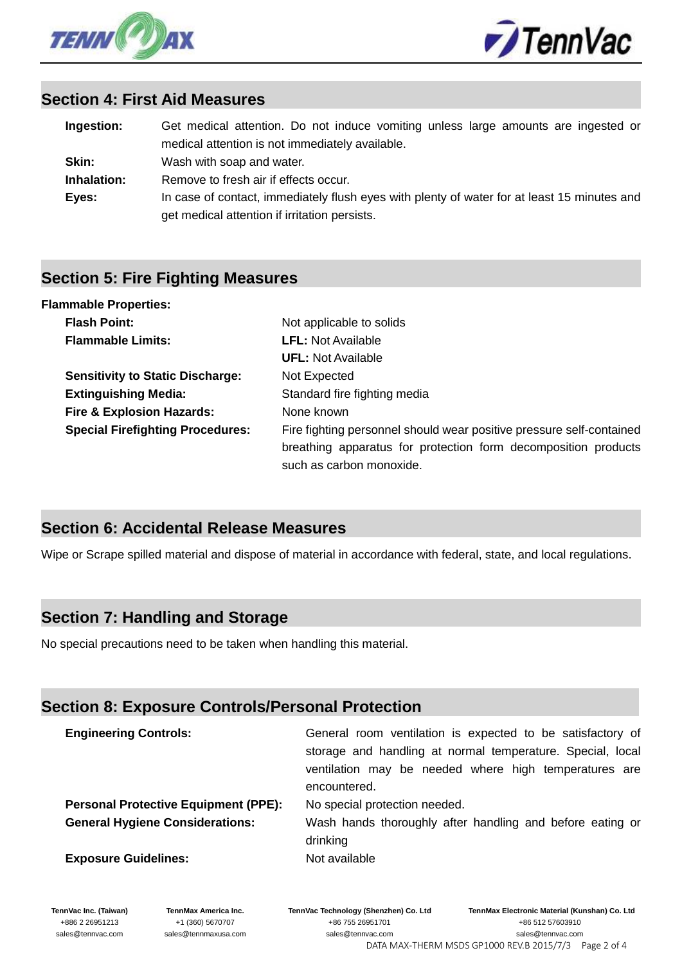



#### **Section 4: First Aid Measures**

| Ingestion:  | Get medical attention. Do not induce vomiting unless large amounts are ingested or          |
|-------------|---------------------------------------------------------------------------------------------|
|             | medical attention is not immediately available.                                             |
| Skin:       | Wash with soap and water.                                                                   |
| Inhalation: | Remove to fresh air if effects occur.                                                       |
| Eyes:       | In case of contact, immediately flush eyes with plenty of water for at least 15 minutes and |
|             | get medical attention if irritation persists.                                               |

#### **Section 5: Fire Fighting Measures**

| <b>Flammable Properties:</b>            |                                                                                                                                                                    |
|-----------------------------------------|--------------------------------------------------------------------------------------------------------------------------------------------------------------------|
| <b>Flash Point:</b>                     | Not applicable to solids                                                                                                                                           |
| <b>Flammable Limits:</b>                | <b>LFL:</b> Not Available                                                                                                                                          |
|                                         | <b>UFL:</b> Not Available                                                                                                                                          |
| <b>Sensitivity to Static Discharge:</b> | Not Expected                                                                                                                                                       |
| <b>Extinguishing Media:</b>             | Standard fire fighting media                                                                                                                                       |
| <b>Fire &amp; Explosion Hazards:</b>    | None known                                                                                                                                                         |
| <b>Special Firefighting Procedures:</b> | Fire fighting personnel should wear positive pressure self-contained<br>breathing apparatus for protection form decomposition products<br>such as carbon monoxide. |

# **Section 6: Accidental Release Measures**

Wipe or Scrape spilled material and dispose of material in accordance with federal, state, and local regulations.

# **Section 7: Handling and Storage**

No special precautions need to be taken when handling this material.

# **Section 8: Exposure Controls/Personal Protection**

| <b>Engineering Controls:</b>                | General room ventilation is expected to be satisfactory of<br>storage and handling at normal temperature. Special, local<br>ventilation may be needed where high temperatures are<br>encountered. |
|---------------------------------------------|---------------------------------------------------------------------------------------------------------------------------------------------------------------------------------------------------|
| <b>Personal Protective Equipment (PPE):</b> | No special protection needed.                                                                                                                                                                     |
| <b>General Hygiene Considerations:</b>      | Wash hands thoroughly after handling and before eating or<br>drinking                                                                                                                             |
| <b>Exposure Guidelines:</b>                 | Not available                                                                                                                                                                                     |

**TennVac Inc. (Taiwan)** +886 2 26951213 sales@tennvac.com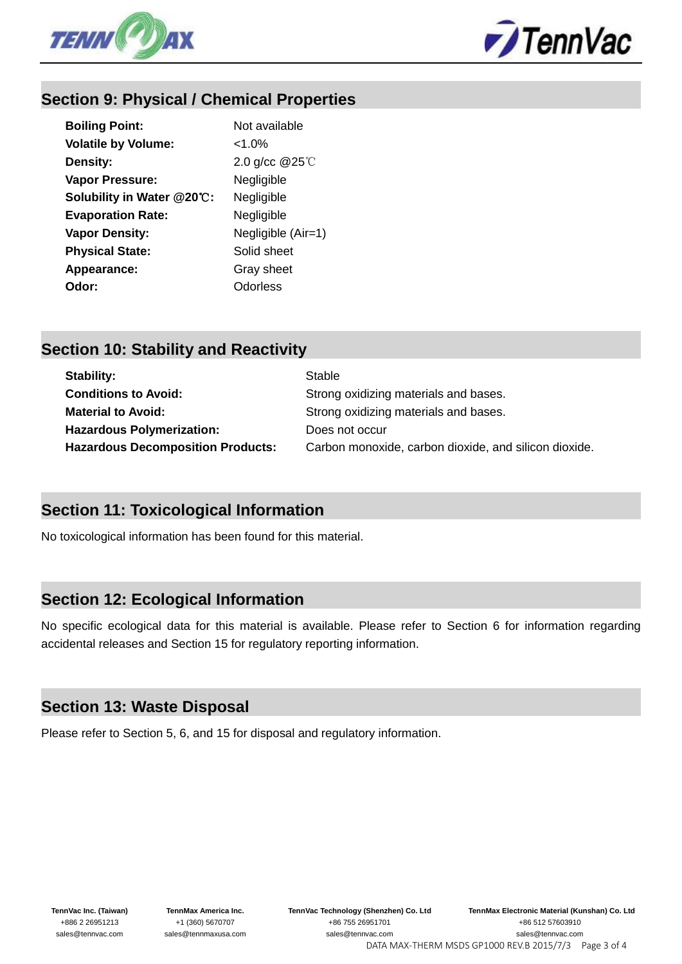



# **Section 9: Physical / Chemical Properties**

| <b>Boiling Point:</b>      | Not available          |
|----------------------------|------------------------|
| <b>Volatile by Volume:</b> | $<1.0\%$               |
| Density:                   | 2.0 g/cc $@25^\circ$ C |
| Vapor Pressure:            | Negligible             |
| Solubility in Water @20°C: | Negligible             |
| <b>Evaporation Rate:</b>   | Negligible             |
| <b>Vapor Density:</b>      | Negligible (Air=1)     |
| <b>Physical State:</b>     | Solid sheet            |
| Appearance:                | Gray sheet             |
| Odor:                      | Odorless               |

# **Section 10: Stability and Reactivity**

| Stability:                               | Stable                                                |
|------------------------------------------|-------------------------------------------------------|
| <b>Conditions to Avoid:</b>              | Strong oxidizing materials and bases.                 |
| <b>Material to Avoid:</b>                | Strong oxidizing materials and bases.                 |
| <b>Hazardous Polymerization:</b>         | Does not occur                                        |
| <b>Hazardous Decomposition Products:</b> | Carbon monoxide, carbon dioxide, and silicon dioxide. |

#### **Section 11: Toxicological Information**

No toxicological information has been found for this material.

#### **Section 12: Ecological Information**

No specific ecological data for this material is available. Please refer to Section 6 for information regarding accidental releases and Section 15 for regulatory reporting information.

#### **Section 13: Waste Disposal**

Please refer to Section 5, 6, and 15 for disposal and regulatory information.

**TennVac Inc. (Taiwan)** +886 2 26951213 sales@tennvac.com